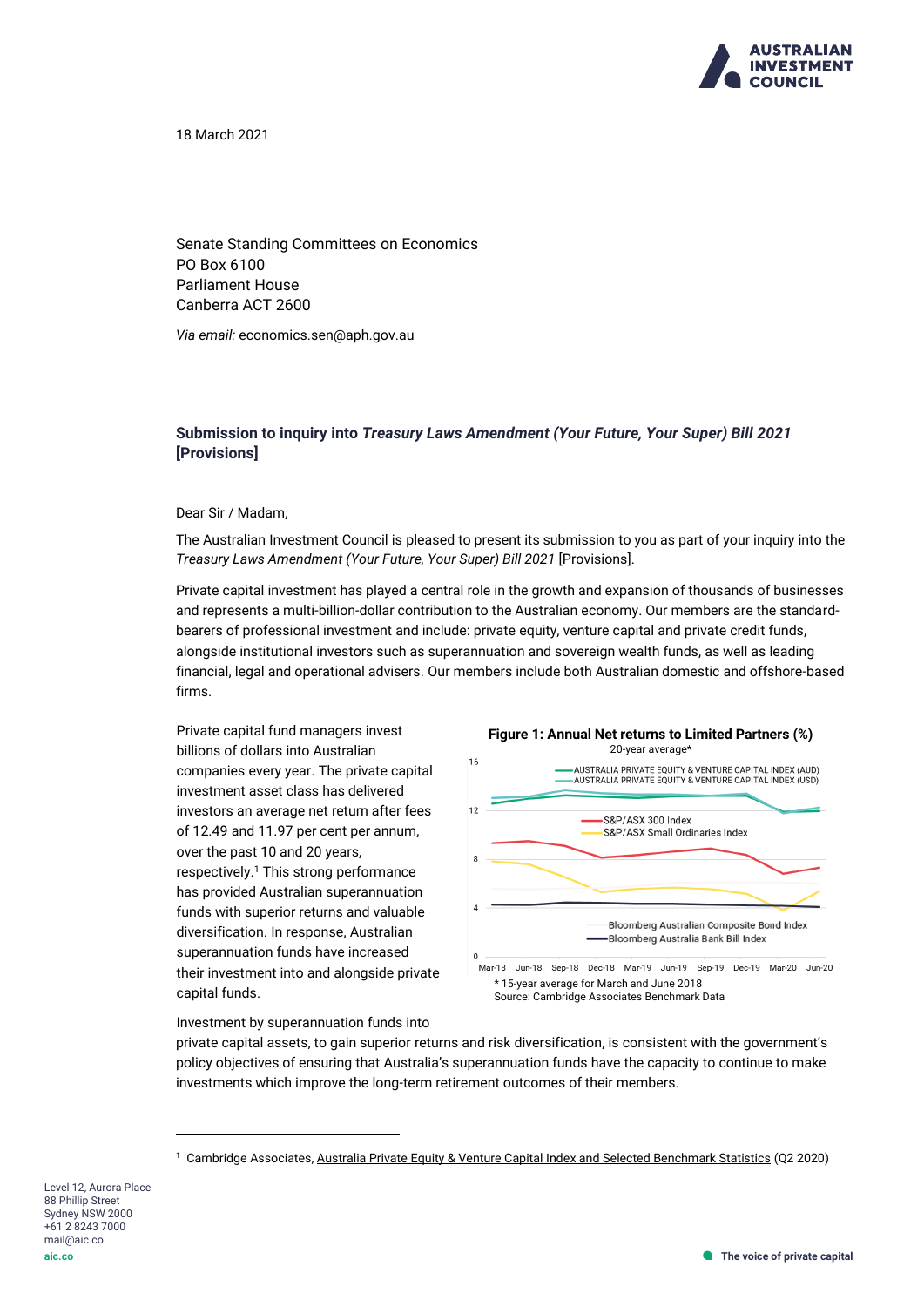

18 March 2021

Senate Standing Committees on Economics PO Box 6100 Parliament House Canberra ACT 2600

*Via email:* [economics.sen@aph.gov.au](mailto:economics.sen@aph.gov.au)

# **Submission to inquiry into** *Treasury Laws Amendment (Your Future, Your Super) Bill 2021* **[Provisions]**

#### Dear Sir / Madam,

The Australian Investment Council is pleased to present its submission to you as part of your inquiry into the *Treasury Laws Amendment (Your Future, Your Super) Bill 2021* [Provisions].

Private capital investment has played a central role in the growth and expansion of thousands of businesses and represents a multi-billion-dollar contribution to the Australian economy. Our members are the standardbearers of professional investment and include: private equity, venture capital and private credit funds, alongside institutional investors such as superannuation and sovereign wealth funds, as well as leading financial, legal and operational advisers. Our members include both Australian domestic and offshore-based firms.

Private capital fund managers invest billions of dollars into Australian companies every year. The private capital investment asset class has delivered investors an average net return after fees of 12.49 and 11.97 per cent per annum, over the past 10 and 20 years, respectively.<sup>1</sup> This strong performance has provided Australian superannuation funds with superior returns and valuable diversification. In response, Australian superannuation funds have increased their investment into and alongside private capital funds.



#### Investment by superannuation funds into

private capital assets, to gain superior returns and risk diversification, is consistent with the government's policy objectives of ensuring that Australia's superannuation funds have the capacity to continue to make investments which improve the long-term retirement outcomes of their members.

Level 12, Aurora Place 88 Phillip Street Sydney NSW 2000 +61 2 8243 7000 mail@aic.co **aic.co**

<sup>&</sup>lt;sup>1</sup> Cambridge Associates[, Australia Private Equity & Venture Capital Index and Selected Benchmark Statistics](https://aic.co/AIC/Research/Performance-Benchmarks.aspx) (Q2 2020)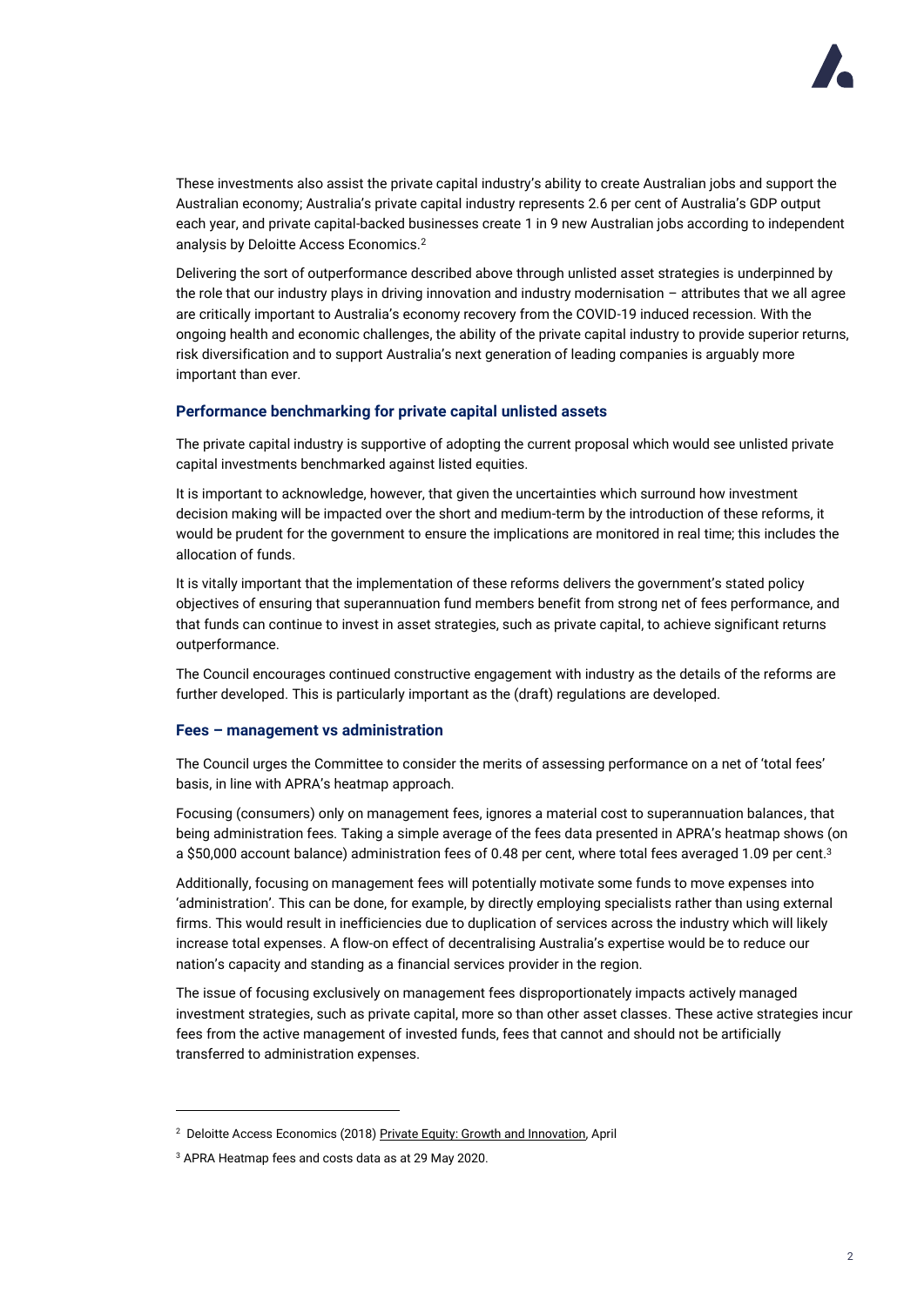

These investments also assist the private capital industry's ability to create Australian jobs and support the Australian economy; Australia's private capital industry represents 2.6 per cent of Australia's GDP output each year, and private capital-backed businesses create 1 in 9 new Australian jobs according to independent analysis by Deloitte Access Economics.<sup>2</sup>

Delivering the sort of outperformance described above through unlisted asset strategies is underpinned by the role that our industry plays in driving innovation and industry modernisation – attributes that we all agree are critically important to Australia's economy recovery from the COVID-19 induced recession. With the ongoing health and economic challenges, the ability of the private capital industry to provide superior returns, risk diversification and to support Australia's next generation of leading companies is arguably more important than ever.

# **Performance benchmarking for private capital unlisted assets**

The private capital industry is supportive of adopting the current proposal which would see unlisted private capital investments benchmarked against listed equities.

It is important to acknowledge, however, that given the uncertainties which surround how investment decision making will be impacted over the short and medium-term by the introduction of these reforms, it would be prudent for the government to ensure the implications are monitored in real time; this includes the allocation of funds.

It is vitally important that the implementation of these reforms delivers the government's stated policy objectives of ensuring that superannuation fund members benefit from strong net of fees performance, and that funds can continue to invest in asset strategies, such as private capital, to achieve significant returns outperformance.

The Council encourages continued constructive engagement with industry as the details of the reforms are further developed. This is particularly important as the (draft) regulations are developed.

### **Fees – management vs administration**

The Council urges the Committee to consider the merits of assessing performance on a net of 'total fees' basis, in line with APRA's heatmap approach.

Focusing (consumers) only on management fees, ignores a material cost to superannuation balances, that being administration fees. Taking a simple average of the fees data presented in APRA's heatmap shows (on a \$50,000 account balance) administration fees of 0.48 per cent, where total fees averaged 1.09 per cent.<sup>3</sup>

Additionally, focusing on management fees will potentially motivate some funds to move expenses into 'administration'. This can be done, for example, by directly employing specialists rather than using external firms. This would result in inefficiencies due to duplication of services across the industry which will likely increase total expenses. A flow-on effect of decentralising Australia's expertise would be to reduce our nation's capacity and standing as a financial services provider in the region.

The issue of focusing exclusively on management fees disproportionately impacts actively managed investment strategies, such as private capital, more so than other asset classes. These active strategies incur fees from the active management of invested funds, fees that cannot and should not be artificially transferred to administration expenses.

<sup>&</sup>lt;sup>2</sup> Deloitte Access Economics (2018[\) Private Equity: Growth and Innovation,](https://aic.co/common/Uploaded%20files/Special%20Reports/Deloitte%20Access%20Economics%202018%20Private%20Equity%20Growth%20and%20Innovation.pdf) April

<sup>3</sup> APRA Heatmap fees and costs data as at 29 May 2020.